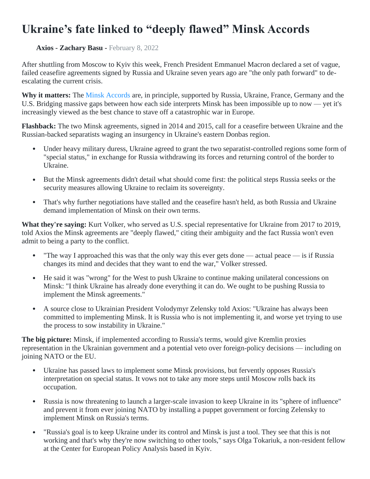## **Ukraine's fate linked to "deeply flawed" Minsk Accords**

**Axios - Zachary Basu -** February 8, 2022

After shuttling from Moscow to Kyiv this week, French President Emmanuel Macron declared a set of vague, failed ceasefire agreements signed by Russia and Ukraine seven years ago are "the only path forward" to deescalating the current crisis.

**Why it matters:** The [Minsk Accords](https://www.reuters.com/world/europe/what-are-minsk-agreements-ukraine-conflict-2021-12-06/) are, in principle, supported by Russia, Ukraine, France, Germany and the U.S. Bridging massive gaps between how each side interprets Minsk has been impossible up to now — yet it's increasingly viewed as the best chance to stave off a catastrophic war in Europe.

**Flashback:** The two Minsk agreements, signed in 2014 and 2015, call for a ceasefire between Ukraine and the Russian-backed separatists waging an insurgency in Ukraine's eastern Donbas region.

- Under heavy military duress, Ukraine agreed to grant the two separatist-controlled regions some form of "special status," in exchange for Russia withdrawing its forces and returning control of the border to Ukraine.
- But the Minsk agreements didn't detail what should come first: the political steps Russia seeks or the security measures allowing Ukraine to reclaim its sovereignty.
- That's why further negotiations have stalled and the ceasefire hasn't held, as both Russia and Ukraine demand implementation of Minsk on their own terms.

**What they're saying:** Kurt Volker, who served as U.S. special representative for Ukraine from 2017 to 2019, told Axios the Minsk agreements are "deeply flawed," citing their ambiguity and the fact Russia won't even admit to being a party to the conflict.

- "The way I approached this was that the only way this ever gets done actual peace is if Russia changes its mind and decides that they want to end the war," Volker stressed.
- He said it was "wrong" for the West to push Ukraine to continue making unilateral concessions on Minsk: "I think Ukraine has already done everything it can do. We ought to be pushing Russia to implement the Minsk agreements."
- A source close to Ukrainian President Volodymyr Zelensky told Axios: "Ukraine has always been committed to implementing Minsk. It is Russia who is not implementing it, and worse yet trying to use the process to sow instability in Ukraine."

**The big picture:** Minsk, if implemented according to Russia's terms, would give Kremlin proxies representation in the Ukrainian government and a potential veto over foreign-policy decisions — including on joining NATO or the EU.

- Ukraine has passed laws to implement some Minsk provisions, but fervently opposes Russia's interpretation on special status. It vows not to take any more steps until Moscow rolls back its occupation.
- Russia is now threatening to launch a larger-scale invasion to keep Ukraine in its "sphere of influence" and prevent it from ever joining NATO by installing a puppet government or forcing Zelensky to implement Minsk on Russia's terms.
- "Russia's goal is to keep Ukraine under its control and Minsk is just a tool. They see that this is not working and that's why they're now switching to other tools," says Olga Tokariuk, a non-resident fellow at the Center for European Policy Analysis based in Kyiv.